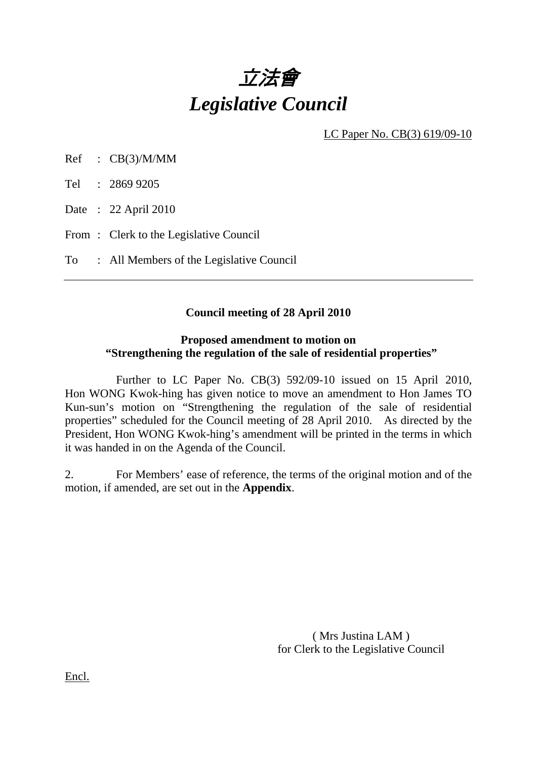

LC Paper No. CB(3) 619/09-10

Ref : CB(3)/M/MM

Tel : 2869 9205

Date : 22 April 2010

From: Clerk to the Legislative Council

To : All Members of the Legislative Council

# **Council meeting of 28 April 2010**

### **Proposed amendment to motion on "Strengthening the regulation of the sale of residential properties"**

 Further to LC Paper No. CB(3) 592/09-10 issued on 15 April 2010, Hon WONG Kwok-hing has given notice to move an amendment to Hon James TO Kun-sun's motion on "Strengthening the regulation of the sale of residential properties" scheduled for the Council meeting of 28 April 2010. As directed by the President, Hon WONG Kwok-hing's amendment will be printed in the terms in which it was handed in on the Agenda of the Council.

2. For Members' ease of reference, the terms of the original motion and of the motion, if amended, are set out in the **Appendix**.

> ( Mrs Justina LAM ) for Clerk to the Legislative Council

Encl.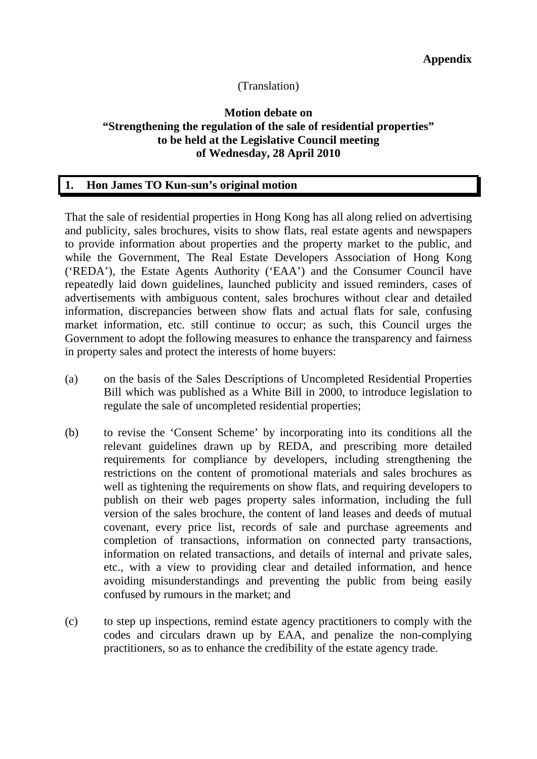# (Translation)

# **Motion debate on "Strengthening the regulation of the sale of residential properties" to be held at the Legislative Council meeting of Wednesday, 28 April 2010**

### **1. Hon James TO Kun-sun's original motion**

That the sale of residential properties in Hong Kong has all along relied on advertising and publicity, sales brochures, visits to show flats, real estate agents and newspapers to provide information about properties and the property market to the public, and while the Government, The Real Estate Developers Association of Hong Kong ('REDA'), the Estate Agents Authority ('EAA') and the Consumer Council have repeatedly laid down guidelines, launched publicity and issued reminders, cases of advertisements with ambiguous content, sales brochures without clear and detailed information, discrepancies between show flats and actual flats for sale, confusing market information, etc. still continue to occur; as such, this Council urges the Government to adopt the following measures to enhance the transparency and fairness in property sales and protect the interests of home buyers:

- (a) on the basis of the Sales Descriptions of Uncompleted Residential Properties Bill which was published as a White Bill in 2000, to introduce legislation to regulate the sale of uncompleted residential properties;
- (b) to revise the 'Consent Scheme' by incorporating into its conditions all the relevant guidelines drawn up by REDA, and prescribing more detailed requirements for compliance by developers, including strengthening the restrictions on the content of promotional materials and sales brochures as well as tightening the requirements on show flats, and requiring developers to publish on their web pages property sales information, including the full version of the sales brochure, the content of land leases and deeds of mutual covenant, every price list, records of sale and purchase agreements and completion of transactions, information on connected party transactions, information on related transactions, and details of internal and private sales, etc., with a view to providing clear and detailed information, and hence avoiding misunderstandings and preventing the public from being easily confused by rumours in the market; and
- (c) to step up inspections, remind estate agency practitioners to comply with the codes and circulars drawn up by EAA, and penalize the non-complying practitioners, so as to enhance the credibility of the estate agency trade.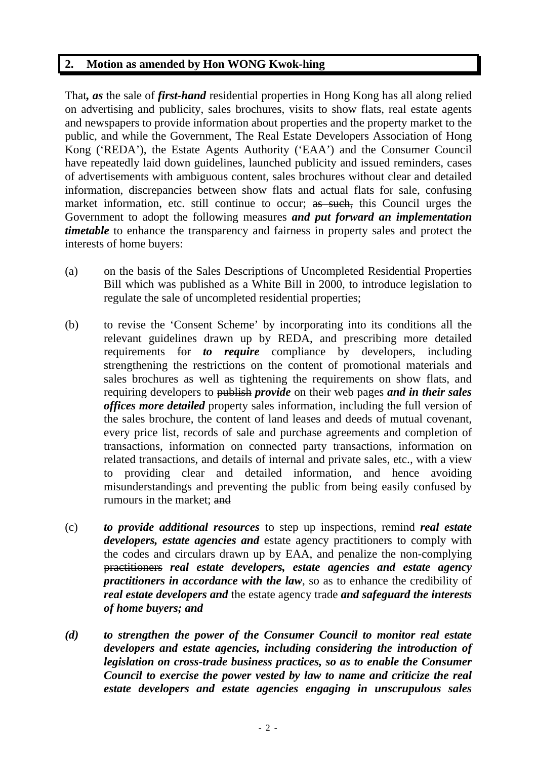# **2. Motion as amended by Hon WONG Kwok-hing**

That*, as* the sale of *first-hand* residential properties in Hong Kong has all along relied on advertising and publicity, sales brochures, visits to show flats, real estate agents and newspapers to provide information about properties and the property market to the public, and while the Government, The Real Estate Developers Association of Hong Kong ('REDA'), the Estate Agents Authority ('EAA') and the Consumer Council have repeatedly laid down guidelines, launched publicity and issued reminders, cases of advertisements with ambiguous content, sales brochures without clear and detailed information, discrepancies between show flats and actual flats for sale, confusing market information, etc. still continue to occur; as such, this Council urges the Government to adopt the following measures *and put forward an implementation timetable* to enhance the transparency and fairness in property sales and protect the interests of home buyers:

- (a) on the basis of the Sales Descriptions of Uncompleted Residential Properties Bill which was published as a White Bill in 2000, to introduce legislation to regulate the sale of uncompleted residential properties;
- (b) to revise the 'Consent Scheme' by incorporating into its conditions all the relevant guidelines drawn up by REDA, and prescribing more detailed requirements for *to require* compliance by developers, including strengthening the restrictions on the content of promotional materials and sales brochures as well as tightening the requirements on show flats, and requiring developers to publish *provide* on their web pages *and in their sales offices more detailed* property sales information, including the full version of the sales brochure, the content of land leases and deeds of mutual covenant, every price list, records of sale and purchase agreements and completion of transactions, information on connected party transactions, information on related transactions, and details of internal and private sales, etc., with a view to providing clear and detailed information, and hence avoiding misunderstandings and preventing the public from being easily confused by rumours in the market; and
- (c) *to provide additional resources* to step up inspections, remind *real estate developers, estate agencies and* estate agency practitioners to comply with the codes and circulars drawn up by EAA, and penalize the non-complying practitioners *real estate developers, estate agencies and estate agency practitioners in accordance with the law*, so as to enhance the credibility of *real estate developers and* the estate agency trade *and safeguard the interests of home buyers; and*
- *(d) to strengthen the power of the Consumer Council to monitor real estate developers and estate agencies, including considering the introduction of legislation on cross-trade business practices, so as to enable the Consumer Council to exercise the power vested by law to name and criticize the real estate developers and estate agencies engaging in unscrupulous sales*